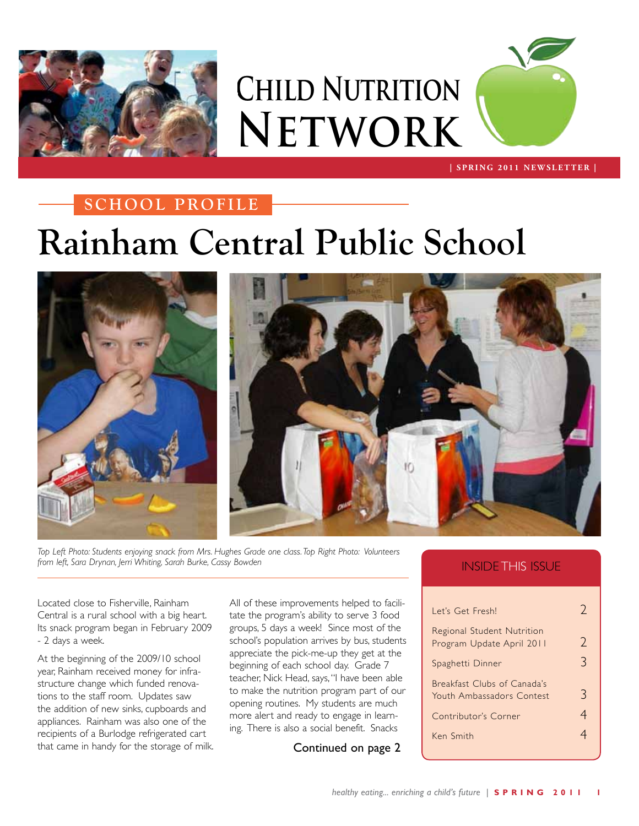

**Child Nutrition Network**



 **| SPRING 2011 NEWSLETTER |**

#### **SCHOOL PROFILE**

# **Rainham Central Public School**





*Top Left Photo: Students enjoying snack from Mrs. Hughes Grade one class. Top Right Photo: Volunteers from left, Sara Drynan, Jerri Whiting, Sarah Burke, Cassy Bowden*

Located close to Fisherville, Rainham Central is a rural school with a big heart. Its snack program began in February 2009 - 2 days a week.

At the beginning of the 2009/10 school year, Rainham received money for infrastructure change which funded renovations to the staff room. Updates saw the addition of new sinks, cupboards and appliances. Rainham was also one of the recipients of a Burlodge refrigerated cart that came in handy for the storage of milk. All of these improvements helped to facilitate the program's ability to serve 3 food groups, 5 days a week! Since most of the school's population arrives by bus, students appreciate the pick-me-up they get at the beginning of each school day. Grade 7 teacher, Nick Head, says, "I have been able to make the nutrition program part of our opening routines. My students are much more alert and ready to engage in learning. There is also a social benefit. Snacks

Continued on page 2

#### INSIDE THIS ISSUE

| Let's Get Fresh!                                         | $\gamma$      |
|----------------------------------------------------------|---------------|
| Regional Student Nutrition<br>Program Update April 2011  | $\mathcal{L}$ |
| Spaghetti Dinner                                         | 3             |
| Breakfast Clubs of Canada's<br>Youth Ambassadors Contest | 3             |
| Contributor's Corner                                     | 4             |
| Ken Smith                                                |               |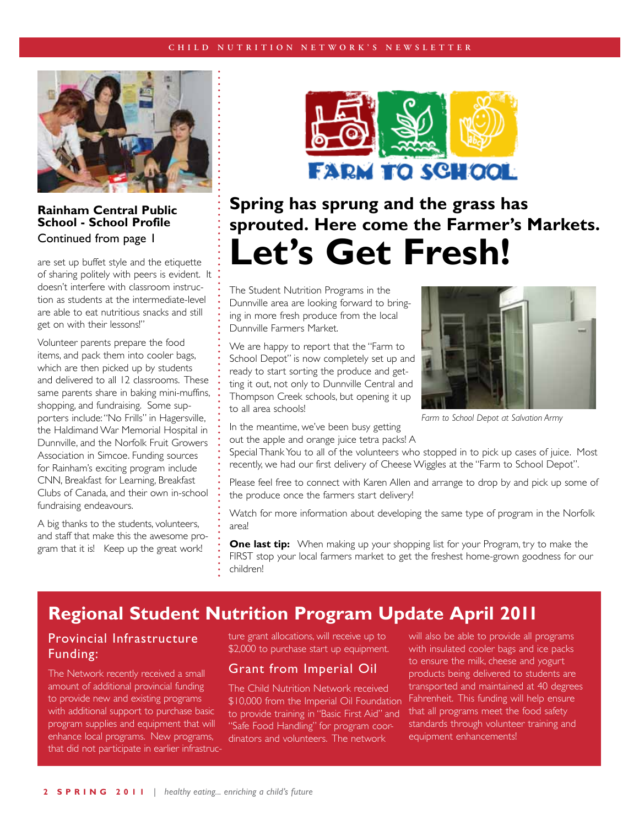

#### **Rainham Central Public School - School Profile** Continued from page 1

are set up buffet style and the etiquette of sharing politely with peers is evident. It doesn't interfere with classroom instruction as students at the intermediate-level are able to eat nutritious snacks and still get on with their lessons!"

Volunteer parents prepare the food items, and pack them into cooler bags, which are then picked up by students and delivered to all 12 classrooms. These same parents share in baking mini-muffins, shopping, and fundraising. Some supporters include: "No Frills" in Hagersville, the Haldimand War Memorial Hospital in Dunnville, and the Norfolk Fruit Growers Association in Simcoe. Funding sources for Rainham's exciting program include CNN, Breakfast for Learning, Breakfast Clubs of Canada, and their own in-school fundraising endeavours.

A big thanks to the students, volunteers, and staff that make this the awesome program that it is! Keep up the great work!



## **Spring has sprung and the grass has sprouted. Here come the Farmer's Markets. Let's Get Fresh!**

The Student Nutrition Programs in the Dunnville area are looking forward to bringing in more fresh produce from the local Dunnville Farmers Market.

We are happy to report that the "Farm to School Depot" is now completely set up and ready to start sorting the produce and getting it out, not only to Dunnville Central and Thompson Creek schools, but opening it up to all area schools!



*Farm to School Depot at Salvation Army*

In the meantime, we've been busy getting out the apple and orange juice tetra packs! A

Special Thank You to all of the volunteers who stopped in to pick up cases of juice. Most recently, we had our first delivery of Cheese Wiggles at the "Farm to School Depot".

Please feel free to connect with Karen Allen and arrange to drop by and pick up some of the produce once the farmers start delivery!

Watch for more information about developing the same type of program in the Norfolk area!

**One last tip:** When making up your shopping list for your Program, try to make the FIRST stop your local farmers market to get the freshest home-grown goodness for our children!

### **Regional Student Nutrition Program Update April 2011**

#### Provincial Infrastructure Funding:

The Network recently received a small amount of additional provincial funding to provide new and existing programs with additional support to purchase basic program supplies and equipment that will enhance local programs. New programs, that did not participate in earlier infrastructure grant allocations, will receive up to \$2,000 to purchase start up equipment.

#### Grant from Imperial Oil

The Child Nutrition Network received \$10,000 from the Imperial Oil Foundation to provide training in "Basic First Aid" and "Safe Food Handling" for program coordinators and volunteers. The network

will also be able to provide all programs with insulated cooler bags and ice packs to ensure the milk, cheese and yogurt products being delivered to students are transported and maintained at 40 degrees Fahrenheit. This funding will help ensure that all programs meet the food safety standards through volunteer training and equipment enhancements!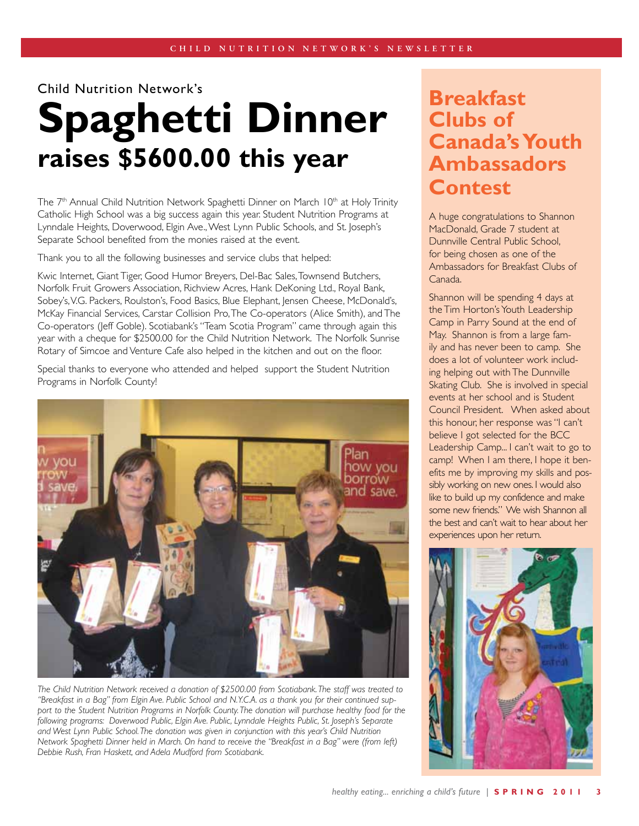Child Nutrition Network's

# **Spaghetti Dinner raises \$5600.00 this year**

The 7<sup>th</sup> Annual Child Nutrition Network Spaghetti Dinner on March 10<sup>th</sup> at Holy Trinity Catholic High School was a big success again this year. Student Nutrition Programs at Lynndale Heights, Doverwood, Elgin Ave., West Lynn Public Schools, and St. Joseph's Separate School benefited from the monies raised at the event.

Thank you to all the following businesses and service clubs that helped:

Kwic Internet, Giant Tiger, Good Humor Breyers, Del-Bac Sales, Townsend Butchers, Norfolk Fruit Growers Association, Richview Acres, Hank DeKoning Ltd., Royal Bank, Sobey's, V.G. Packers, Roulston's, Food Basics, Blue Elephant, Jensen Cheese, McDonald's, McKay Financial Services, Carstar Collision Pro, The Co-operators (Alice Smith), and The Co-operators (Jeff Goble). Scotiabank's "Team Scotia Program" came through again this year with a cheque for \$2500.00 for the Child Nutrition Network. The Norfolk Sunrise Rotary of Simcoe and Venture Cafe also helped in the kitchen and out on the floor.

Special thanks to everyone who attended and helped support the Student Nutrition Programs in Norfolk County!



*The Child Nutrition Network received a donation of \$2500.00 from Scotiabank. The staff was treated to "Breakfast in a Bag" from Elgin Ave. Public School and N.Y.C.A. as a thank you for their continued sup*port to the Student Nutrition Programs in Norfolk County. The donation will purchase healthy food for the *following programs: Doverwood Public, Elgin Ave. Public, Lynndale Heights Public, St. Joseph's Separate and West Lynn Public School. The donation was given in conjunction with this year's Child Nutrition Network Spaghetti Dinner held in March. On hand to receive the "Breakfast in a Bag" were (from left) Debbie Rush, Fran Haskett, and Adela Mudford from Scotiabank.*

## **Breakfast Clubs of Canada's Youth Ambassadors Contest**

A huge congratulations to Shannon MacDonald, Grade 7 student at Dunnville Central Public School, for being chosen as one of the Ambassadors for Breakfast Clubs of Canada.

Shannon will be spending 4 days at the Tim Horton's Youth Leadership Camp in Parry Sound at the end of May. Shannon is from a large family and has never been to camp. She does a lot of volunteer work including helping out with The Dunnville Skating Club. She is involved in special events at her school and is Student Council President. When asked about this honour, her response was "I can't believe I got selected for the BCC Leadership Camp... I can't wait to go to camp! When I am there, I hope it benefits me by improving my skills and possibly working on new ones. I would also like to build up my confidence and make some new friends." We wish Shannon all the best and can't wait to hear about her experiences upon her return.